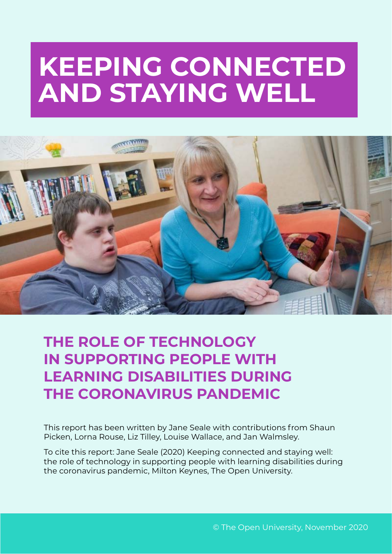# **KEEPING CONNECTED AND STAYING WELL**



## **THE ROLE OF TECHNOLOGY IN SUPPORTING PEOPLE WITH LEARNING DISABILITIES DURING THE CORONAVIRUS PANDEMIC**

This report has been written by Jane Seale with contributions from Shaun Picken, Lorna Rouse, Liz Tilley, Louise Wallace, and Jan Walmsley.

To cite this report: Jane Seale (2020) Keeping connected and staying well: the role of technology in supporting people with learning disabilities during the coronavirus pandemic, Milton Keynes, The Open University.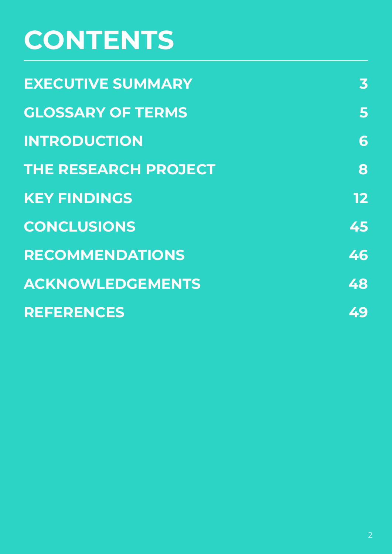# **CONTENTS**

| <b>EXECUTIVE SUMMARY</b>    | 3  |  |
|-----------------------------|----|--|
| <b>GLOSSARY OF TERMS</b>    | 5  |  |
| <b>INTRODUCTION</b>         | 6  |  |
| <b>THE RESEARCH PROJECT</b> | 8  |  |
| <b>KEY FINDINGS</b>         | 12 |  |
| <b>CONCLUSIONS</b>          | 45 |  |
| <b>RECOMMENDATIONS</b>      | 46 |  |
| <b>ACKNOWLEDGEMENTS</b>     | 48 |  |
| <b>REFERENCES</b>           | 49 |  |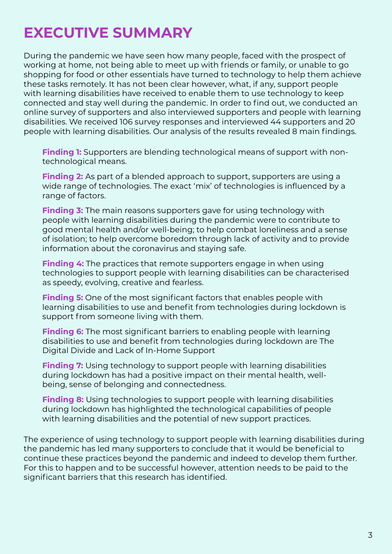## <span id="page-2-0"></span>**EXECUTIVE SUMMARY**

During the pandemic we have seen how many people, faced with the prospect of working at home, not being able to meet up with friends or family, or unable to go shopping for food or other essentials have turned to technology to help them achieve these tasks remotely. It has not been clear however, what, if any, support people with learning disabilities have received to enable them to use technology to keep connected and stay well during the pandemic. In order to find out, we conducted an online survey of supporters and also interviewed supporters and people with learning disabilities. We received 106 survey responses and interviewed 44 supporters and 20 people with learning disabilities. Our analysis of the results revealed 8 main findings.

**Finding 1:** Supporters are blending technological means of support with nontechnological means.

**Finding 2:** As part of a blended approach to support, supporters are using a wide range of technologies. The exact 'mix' of technologies is influenced by a range of factors.

**Finding 3:** The main reasons supporters gave for using technology with people with learning disabilities during the pandemic were to contribute to good mental health and/or well-being; to help combat loneliness and a sense of isolation; to help overcome boredom through lack of activity and to provide information about the coronavirus and staying safe.

**Finding 4:** The practices that remote supporters engage in when using technologies to support people with learning disabilities can be characterised as speedy, evolving, creative and fearless.

**Finding 5:** One of the most significant factors that enables people with learning disabilities to use and benefit from technologies during lockdown is support from someone living with them.

**Finding 6:** The most significant barriers to enabling people with learning disabilities to use and benefit from technologies during lockdown are The Digital Divide and Lack of In-Home Support

**Finding 7:** Using technology to support people with learning disabilities during lockdown has had a positive impact on their mental health, wellbeing, sense of belonging and connectedness.

**Finding 8:** Using technologies to support people with learning disabilities during lockdown has highlighted the technological capabilities of people with learning disabilities and the potential of new support practices.

The experience of using technology to support people with learning disabilities during the pandemic has led many supporters to conclude that it would be beneficial to continue these practices beyond the pandemic and indeed to develop them further. For this to happen and to be successful however, attention needs to be paid to the significant barriers that this research has identified.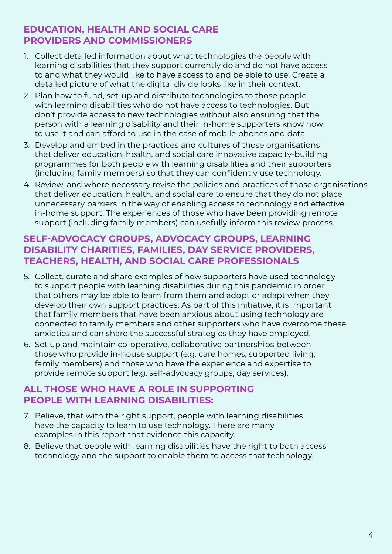#### **EDUCATION, HEALTH AND SOCIAL CARE PROVIDERS AND COMMISSIONERS**

- 1. Collect detailed information about what technologies the people with learning disabilities that they support currently do and do not have access to and what they would like to have access to and be able to use. Create a detailed picture of what the digital divide looks like in their context.
- 2. Plan how to fund, set-up and distribute technologies to those people with learning disabilities who do not have access to technologies. But don't provide access to new technologies without also ensuring that the person with a learning disability and their in-home supporters know how to use it and can afford to use in the case of mobile phones and data.
- 3. Develop and embed in the practices and cultures of those organisations that deliver education, health, and social care innovative capacity-building programmes for both people with learning disabilities and their supporters (including family members) so that they can confidently use technology.
- 4. Review, and where necessary revise the policies and practices of those organisations that deliver education, health, and social care to ensure that they do not place unnecessary barriers in the way of enabling access to technology and effective in-home support. The experiences of those who have been providing remote support (including family members) can usefully inform this review process.

### **SELF-ADVOCACY GROUPS, ADVOCACY GROUPS, LEARNING DISABILITY CHARITIES, FAMILIES, DAY SERVICE PROVIDERS, TEACHERS, HEALTH, AND SOCIAL CARE PROFESSIONALS**

- 5. Collect, curate and share examples of how supporters have used technology to support people with learning disabilities during this pandemic in order that others may be able to learn from them and adopt or adapt when they develop their own support practices. As part of this initiative, it is important that family members that have been anxious about using technology are connected to family members and other supporters who have overcome these anxieties and can share the successful strategies they have employed.
- 6. Set up and maintain co-operative, collaborative partnerships between those who provide in-house support (e.g. care homes, supported living; family members) and those who have the experience and expertise to provide remote support (e.g. self-advocacy groups, day services).

#### **ALL THOSE WHO HAVE A ROLE IN SUPPORTING PEOPLE WITH LEARNING DISABILITIES:**

- 7. Believe, that with the right support, people with learning disabilities have the capacity to learn to use technology. There are many examples in this report that evidence this capacity.
- 8. Believe that people with learning disabilities have the right to both access technology and the support to enable them to access that technology.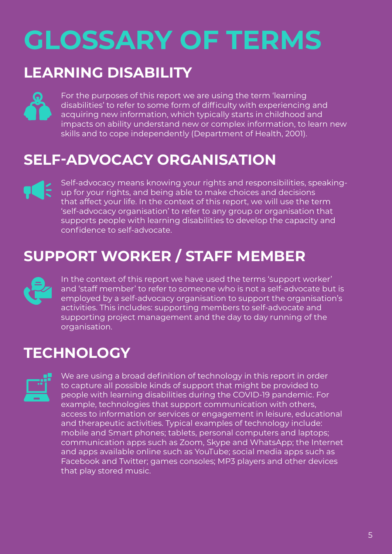# <span id="page-4-0"></span>**GLOSSARY OF TERMS**

## **LEARNING DISABILITY**

For the purposes of this report we are using the term 'learning disabilities' to refer to some form of difficulty with experiencing and acquiring new information, which typically starts in childhood and impacts on ability understand new or complex information, to learn new skills and to cope independently (Department of Health, 2001).

## **SELF-ADVOCACY ORGANISATION**

Self-advocacy means knowing your rights and responsibilities, speaking-**TEE** up for your rights, and being able to make choices and decisions that affect your life. In the context of this report, we will use the term 'self-advocacy organisation' to refer to any group or organisation that supports people with learning disabilities to develop the capacity and confidence to self-advocate.

## **SUPPORT WORKER / STAFF MEMBER**



In the context of this report we have used the terms 'support worker' and 'staff member' to refer to someone who is not a self-advocate but is employed by a self-advocacy organisation to support the organisation's activities. This includes: supporting members to self-advocate and supporting project management and the day to day running of the organisation.

## **TECHNOLOGY**



We are using a broad definition of technology in this report in order to capture all possible kinds of support that might be provided to people with learning disabilities during the COVID-19 pandemic. For example, technologies that support communication with others, access to information or services or engagement in leisure, educational and therapeutic activities. Typical examples of technology include: mobile and Smart phones; tablets, personal computers and laptops; communication apps such as Zoom, Skype and WhatsApp; the Internet and apps available online such as YouTube; social media apps such as Facebook and Twitter; games consoles; MP3 players and other devices that play stored music.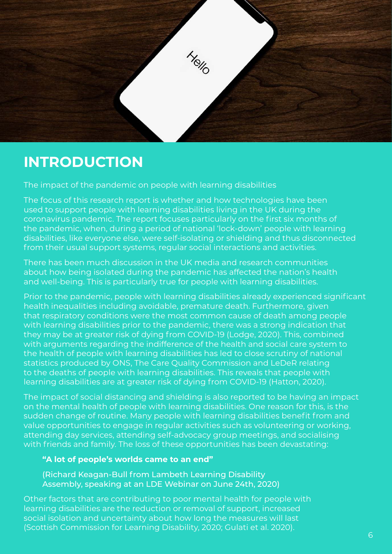<span id="page-5-0"></span>

## **INTRODUCTION**

The impact of the pandemic on people with learning disabilities

The focus of this research report is whether and how technologies have been used to support people with learning disabilities living in the UK during the coronavirus pandemic. The report focuses particularly on the first six months of the pandemic, when, during a period of national 'lock-down' people with learning disabilities, like everyone else, were self-isolating or shielding and thus disconnected from their usual support systems, regular social interactions and activities.

There has been much discussion in the UK media and research communities about how being isolated during the pandemic has affected the nation's health and well-being. This is particularly true for people with learning disabilities.

Prior to the pandemic, people with learning disabilities already experienced significant health inequalities including avoidable, premature death. Furthermore, given that respiratory conditions were the most common cause of death among people with learning disabilities prior to the pandemic, there was a strong indication that they may be at greater risk of dying from COVID-19 (Lodge, 2020). This, combined with arguments regarding the indifference of the health and social care system to the health of people with learning disabilities has led to close scrutiny of national statistics produced by ONS, The Care Quality Commission and LeDeR relating to the deaths of people with learning disabilities. This reveals that people with learning disabilities are at greater risk of dying from COVID-19 (Hatton, 2020).

The impact of social distancing and shielding is also reported to be having an impact on the mental health of people with learning disabilities. One reason for this, is the sudden change of routine. Many people with learning disabilities benefit from and value opportunities to engage in regular activities such as volunteering or working, attending day services, attending self-advocacy group meetings, and socialising with friends and family. The loss of these opportunities has been devastating:

#### **"A lot of people's worlds came to an end"**

(Richard Keagan-Bull from Lambeth Learning Disability Assembly, speaking at an LDE Webinar on June 24th, 2020)

Other factors that are contributing to poor mental health for people with learning disabilities are the reduction or removal of support, increased social isolation and uncertainty about how long the measures will last (Scottish Commission for Learning Disability, 2020; Gulati et al. 2020).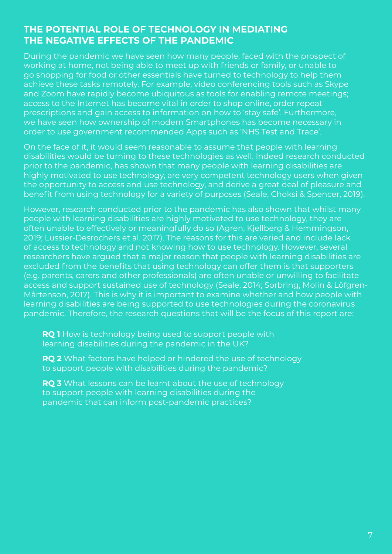#### **THE POTENTIAL ROLE OF TECHNOLOGY IN MEDIATING THE NEGATIVE EFFECTS OF THE PANDEMIC**

During the pandemic we have seen how many people, faced with the prospect of working at home, not being able to meet up with friends or family, or unable to go shopping for food or other essentials have turned to technology to help them achieve these tasks remotely. For example, video conferencing tools such as Skype and Zoom have rapidly become ubiquitous as tools for enabling remote meetings; access to the Internet has become vital in order to shop online, order repeat prescriptions and gain access to information on how to 'stay safe'. Furthermore, we have seen how ownership of modern Smartphones has become necessary in order to use government recommended Apps such as 'NHS Test and Trace'.

On the face of it, it would seem reasonable to assume that people with learning disabilities would be turning to these technologies as well. Indeed research conducted prior to the pandemic, has shown that many people with learning disabilities are highly motivated to use technology, are very competent technology users when given the opportunity to access and use technology, and derive a great deal of pleasure and benefit from using technology for a variety of purposes (Seale, Choksi & Spencer, 2019).

However, research conducted prior to the pandemic has also shown that whilst many people with learning disabilities are highly motivated to use technology, they are often unable to effectively or meaningfully do so (Agren, Kjellberg & Hemmingson, 2019; Lussier-Desrochers et al. 2017). The reasons for this are varied and include lack of access to technology and not knowing how to use technology. However, several researchers have argued that a major reason that people with learning disabilities are excluded from the benefits that using technology can offer them is that supporters (e.g. parents, carers and other professionals) are often unable or unwilling to facilitate access and support sustained use of technology (Seale, 2014; Sorbring, Molin & Löfgren-Mårtenson, 2017). This is why it is important to examine whether and how people with learning disabilities are being supported to use technologies during the coronavirus pandemic. Therefore, the research questions that will be the focus of this report are:

**RQ 1** How is technology being used to support people with learning disabilities during the pandemic in the UK?

**RQ 2** What factors have helped or hindered the use of technology to support people with disabilities during the pandemic?

**RQ 3** What lessons can be learnt about the use of technology to support people with learning disabilities during the pandemic that can inform post-pandemic practices?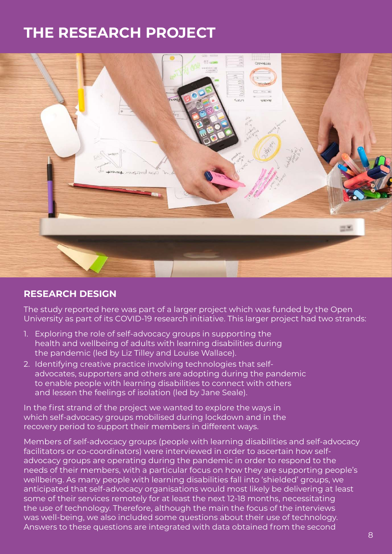## <span id="page-7-0"></span>**THE RESEARCH PROJECT**



#### **RESEARCH DESIGN**

The study reported here was part of a larger project which was funded by the Open University as part of its COVID-19 research initiative. This larger project had two strands:

- 1. Exploring the role of self-advocacy groups in supporting the health and wellbeing of adults with learning disabilities during the pandemic (led by Liz Tilley and Louise Wallace).
- 2. Identifying creative practice involving technologies that selfadvocates, supporters and others are adopting during the pandemic to enable people with learning disabilities to connect with others and lessen the feelings of isolation (led by Jane Seale).

In the first strand of the project we wanted to explore the ways in which self-advocacy groups mobilised during lockdown and in the recovery period to support their members in different ways.

Members of self-advocacy groups (people with learning disabilities and self-advocacy facilitators or co-coordinators) were interviewed in order to ascertain how selfadvocacy groups are operating during the pandemic in order to respond to the needs of their members, with a particular focus on how they are supporting people's wellbeing. As many people with learning disabilities fall into 'shielded' groups, we anticipated that self-advocacy organisations would most likely be delivering at least some of their services remotely for at least the next 12-18 months, necessitating the use of technology. Therefore, although the main the focus of the interviews was well-being, we also included some questions about their use of technology. Answers to these questions are integrated with data obtained from the second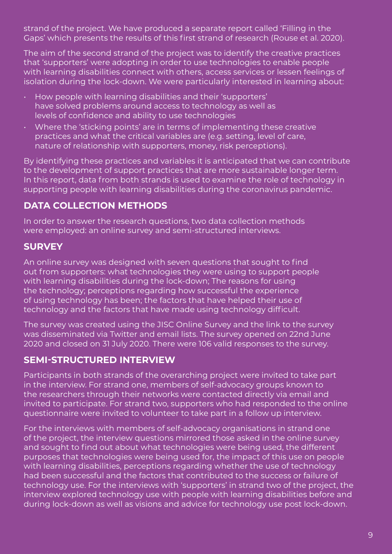strand of the project. We have produced a separate report called 'Filling in the Gaps' which presents the results of this first strand of research (Rouse et al. 2020).

The aim of the second strand of the project was to identify the creative practices that 'supporters' were adopting in order to use technologies to enable people with learning disabilities connect with others, access services or lessen feelings of isolation during the lock-down. We were particularly interested in learning about:

- How people with learning disabilities and their 'supporters' have solved problems around access to technology as well as levels of confidence and ability to use technologies
- Where the 'sticking points' are in terms of implementing these creative practices and what the critical variables are (e.g. setting, level of care, nature of relationship with supporters, money, risk perceptions).

By identifying these practices and variables it is anticipated that we can contribute to the development of support practices that are more sustainable longer term. In this report, data from both strands is used to examine the role of technology in supporting people with learning disabilities during the coronavirus pandemic.

### **DATA COLLECTION METHODS**

In order to answer the research questions, two data collection methods were employed: an online survey and semi-structured interviews.

### **SURVEY**

An online survey was designed with seven questions that sought to find out from supporters: what technologies they were using to support people with learning disabilities during the lock-down; The reasons for using the technology; perceptions regarding how successful the experience of using technology has been; the factors that have helped their use of technology and the factors that have made using technology difficult.

The survey was created using the JISC Online Survey and the link to the survey was disseminated via Twitter and email lists. The survey opened on 22nd June 2020 and closed on 31 July 2020. There were 106 valid responses to the survey.

### **SEMI-STRUCTURED INTERVIEW**

Participants in both strands of the overarching project were invited to take part in the interview. For strand one, members of self-advocacy groups known to the researchers through their networks were contacted directly via email and invited to participate. For strand two, supporters who had responded to the online questionnaire were invited to volunteer to take part in a follow up interview.

For the interviews with members of self-advocacy organisations in strand one of the project, the interview questions mirrored those asked in the online survey and sought to find out about what technologies were being used, the different purposes that technologies were being used for, the impact of this use on people with learning disabilities, perceptions regarding whether the use of technology had been successful and the factors that contributed to the success or failure of technology use. For the interviews with 'supporters' in strand two of the project, the interview explored technology use with people with learning disabilities before and during lock-down as well as visions and advice for technology use post lock-down.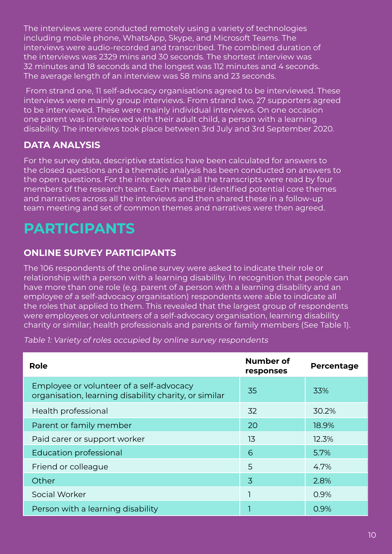The interviews were conducted remotely using a variety of technologies including mobile phone, WhatsApp, Skype, and Microsoft Teams. The interviews were audio-recorded and transcribed. The combined duration of the interviews was 2329 mins and 30 seconds. The shortest interview was 32 minutes and 18 seconds and the longest was 112 minutes and 4 seconds. The average length of an interview was 58 mins and 23 seconds.

 From strand one, 11 self-advocacy organisations agreed to be interviewed. These interviews were mainly group interviews. From strand two, 27 supporters agreed to be interviewed. These were mainly individual interviews. On one occasion one parent was interviewed with their adult child, a person with a learning disability. The interviews took place between 3rd July and 3rd September 2020.

### **DATA ANALYSIS**

For the survey data, descriptive statistics have been calculated for answers to the closed questions and a thematic analysis has been conducted on answers to the open questions. For the interview data all the transcripts were read by four members of the research team. Each member identified potential core themes and narratives across all the interviews and then shared these in a follow-up team meeting and set of common themes and narratives were then agreed.

## **PARTICIPANTS**

### **ONLINE SURVEY PARTICIPANTS**

The 106 respondents of the online survey were asked to indicate their role or relationship with a person with a learning disability. In recognition that people can have more than one role (e.g. parent of a person with a learning disability and an employee of a self-advocacy organisation) respondents were able to indicate all the roles that applied to them. This revealed that the largest group of respondents were employees or volunteers of a self-advocacy organisation, learning disability charity or similar; health professionals and parents or family members (See Table 1).

Table 1: Variety of roles occupied by online survey respondents

| Role                                                                                              | Number of<br>responses | Percentage |
|---------------------------------------------------------------------------------------------------|------------------------|------------|
| Employee or volunteer of a self-advocacy<br>organisation, learning disability charity, or similar | 35                     | 33%        |
| Health professional                                                                               | 32                     | 30.2%      |
| Parent or family member                                                                           | 20                     | 18.9%      |
| Paid carer or support worker                                                                      | 13                     | 12.3%      |
| Education professional                                                                            | 6                      | 5.7%       |
| Friend or colleague                                                                               | 5                      | 4.7%       |
| Other                                                                                             | 3                      | 2.8%       |
| Social Worker                                                                                     |                        | 0.9%       |
| Person with a learning disability                                                                 |                        | 0.9%       |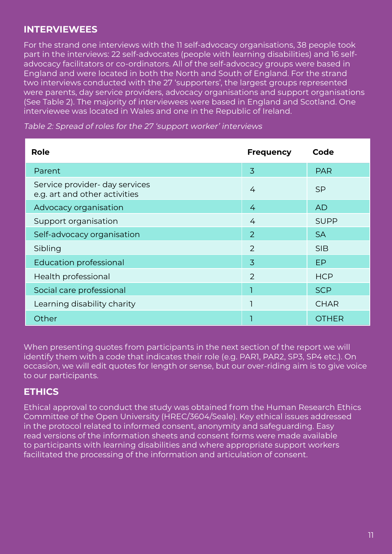#### **INTERVIEWEES**

For the strand one interviews with the 11 self-advocacy organisations, 38 people took part in the interviews: 22 self-advocates (people with learning disabilities) and 16 selfadvocacy facilitators or co-ordinators. All of the self-advocacy groups were based in England and were located in both the North and South of England. For the strand two interviews conducted with the 27 'supporters', the largest groups represented were parents, day service providers, advocacy organisations and support organisations (See Table 2). The majority of interviewees were based in England and Scotland. One interviewee was located in Wales and one in the Republic of Ireland.

Table 2: Spread of roles for the 27 'support worker' interviews

| Role                                                            | <b>Frequency</b> | Code         |
|-----------------------------------------------------------------|------------------|--------------|
| Parent                                                          | 3                | <b>PAR</b>   |
| Service provider- day services<br>e.g. art and other activities | 4                | <b>SP</b>    |
| Advocacy organisation                                           | 4                | <b>AD</b>    |
| Support organisation                                            | 4                | <b>SUPP</b>  |
| Self-advocacy organisation                                      | 2                | <b>SA</b>    |
| Sibling                                                         | $\overline{2}$   | <b>SIB</b>   |
| <b>Education professional</b>                                   | $\overline{3}$   | <b>EP</b>    |
| Health professional                                             | 2                | <b>HCP</b>   |
| Social care professional                                        |                  | <b>SCP</b>   |
| Learning disability charity                                     |                  | <b>CHAR</b>  |
| Other                                                           |                  | <b>OTHER</b> |

When presenting quotes from participants in the next section of the report we will identify them with a code that indicates their role (e.g. PAR1, PAR2, SP3, SP4 etc.). On occasion, we will edit quotes for length or sense, but our over-riding aim is to give voice to our participants.

#### **ETHICS**

Ethical approval to conduct the study was obtained from the Human Research Ethics Committee of the Open University (HREC/3604/Seale). Key ethical issues addressed in the protocol related to informed consent, anonymity and safeguarding. Easy read versions of the information sheets and consent forms were made available to participants with learning disabilities and where appropriate support workers facilitated the processing of the information and articulation of consent.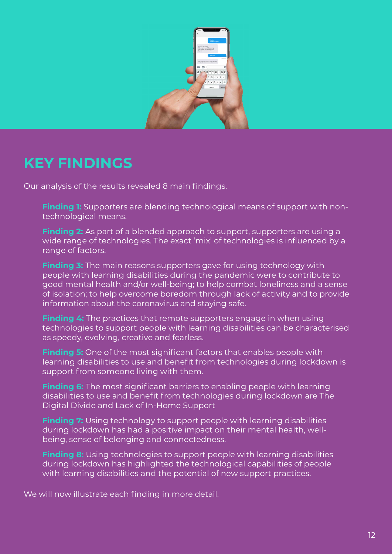<span id="page-11-0"></span>

## **KEY FINDINGS**

Our analysis of the results revealed 8 main findings.

- **Finding 1:** Supporters are blending technological means of support with nontechnological means.
- **Finding 2:** As part of a blended approach to support, supporters are using a wide range of technologies. The exact 'mix' of technologies is influenced by a range of factors.
- **Finding 3:** The main reasons supporters gave for using technology with people with learning disabilities during the pandemic were to contribute to good mental health and/or well-being; to help combat loneliness and a sense of isolation; to help overcome boredom through lack of activity and to provide information about the coronavirus and staying safe.
- **Finding 4:** The practices that remote supporters engage in when using technologies to support people with learning disabilities can be characterised as speedy, evolving, creative and fearless.
- **Finding 5:** One of the most significant factors that enables people with learning disabilities to use and benefit from technologies during lockdown is support from someone living with them.
- **Finding 6:** The most significant barriers to enabling people with learning disabilities to use and benefit from technologies during lockdown are The Digital Divide and Lack of In-Home Support
- **Finding 7:** Using technology to support people with learning disabilities during lockdown has had a positive impact on their mental health, wellbeing, sense of belonging and connectedness.
- **Finding 8:** Using technologies to support people with learning disabilities during lockdown has highlighted the technological capabilities of people with learning disabilities and the potential of new support practices.

We will now illustrate each finding in more detail.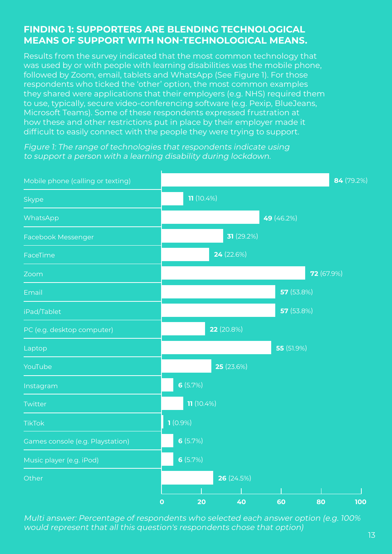### **FINDING 1: SUPPORTERS ARE BLENDING TECHNOLOGICAL MEANS OF SUPPORT WITH NON-TECHNOLOGICAL MEANS.**

Results from the survey indicated that the most common technology that was used by or with people with learning disabilities was the mobile phone, followed by Zoom, email, tablets and WhatsApp (See Figure 1). For those respondents who ticked the 'other' option, the most common examples they shared were applications that their employers (e.g. NHS) required them to use, typically, secure video-conferencing software (e.g. Pexip, BlueJeans, Microsoft Teams). Some of these respondents expressed frustration at how these and other restrictions put in place by their employer made it difficult to easily connect with the people they were trying to support.

Figure 1: The range of technologies that respondents indicate using to support a person with a learning disability during lockdown.



Multi answer: Percentage of respondents who selected each answer option (e.g. 100% would represent that all this question's respondents chose that option)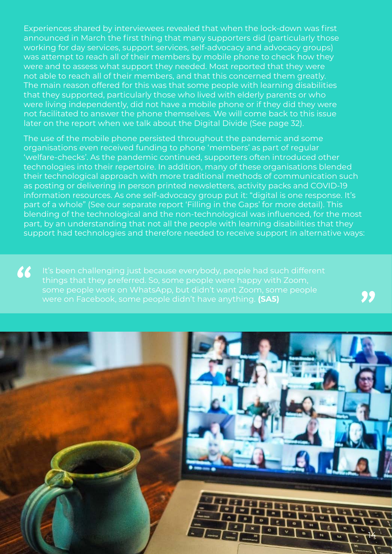Experiences shared by interviewees revealed that when the lock-down was first announced in March the first thing that many supporters did (particularly those working for day services, support services, self-advocacy and advocacy groups) was attempt to reach all of their members by mobile phone to check how they were and to assess what support they needed. Most reported that they were not able to reach all of their members, and that this concerned them greatly. The main reason offered for this was that some people with learning disabilities that they supported, particularly those who lived with elderly parents or who were living independently, did not have a mobile phone or if they did they were not facilitated to answer the phone themselves. We will come back to this issue later on the report when we talk about the Digital Divide (See page 32).

The use of the mobile phone persisted throughout the pandemic and some organisations even received funding to phone 'members' as part of regular 'welfare-checks'. As the pandemic continued, supporters often introduced other technologies into their repertoire. In addition, many of these organisations blended their technological approach with more traditional methods of communication such as posting or delivering in person printed newsletters, activity packs and COVID-19 information resources. As one self-advocacy group put it: "digital is one response. It's part of a whole" (See our separate report 'Filling in the Gaps' for more detail). This blending of the technological and the non-technological was influenced, for the most part, by an understanding that not all the people with learning disabilities that they support had technologies and therefore needed to receive support in alternative ways:

It's been challenging just because everybody, people had such different were on Facebook, some people didn't have anything. **(SA5)**

99

66

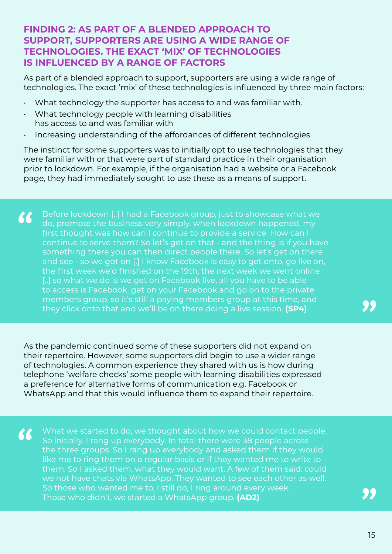#### **FINDING 2: AS PART OF A BLENDED APPROACH TO SUPPORT, SUPPORTERS ARE USING A WIDE RANGE OF TECHNOLOGIES. THE EXACT 'MIX' OF TECHNOLOGIES IS INFLUENCED BY A RANGE OF FACTORS**

As part of a blended approach to support, supporters are using a wide range of technologies. The exact 'mix' of these technologies is influenced by three main factors:

- What technology the supporter has access to and was familiar with.
- What technology people with learning disabilities has access to and was familiar with
- Increasing understanding of the affordances of different technologies

The instinct for some supporters was to initially opt to use technologies that they were familiar with or that were part of standard practice in their organisation prior to lockdown. For example, if the organisation had a website or a Facebook page, they had immediately sought to use these as a means of support.

66 Before lockdown [..] I had a Facebook group, just to showcase what we do, promote the business very simply. when lockdown happened, my first thought was how can I continue to provide a service. How can I continue to serve them? So let's get on that - and the thing is if you have something there you can then direct people there. So let's get on there and see - so we got on [.] I know Facebook is easy to get onto, go live on, the first week we'd finished on the 19th, the next week we went online [..] so what we do is we get on Facebook live, all you have to be able to access is Facebook, get on your Facebook and go on to the private members group, so it's still a paying members group at this time, and they click onto that and we'll be on there doing a live session. **(SP4)**

As the pandemic continued some of these supporters did not expand on their repertoire. However, some supporters did begin to use a wider range of technologies. A common experience they shared with us is how during telephone 'welfare checks' some people with learning disabilities expressed a preference for alternative forms of communication e.g. Facebook or WhatsApp and that this would influence them to expand their repertoire.

66

What we started to do, we thought about how we could contact people. So initially, I rang up everybody. In total there were 38 people across the three groups. So I rang up everybody and asked them if they would like me to ring them on a regular basis or if they wanted me to write to them. So I asked them, what they would want. A few of them said: could we not have chats via WhatsApp. They wanted to see each other as well. So those who wanted me to, I still do, I ring around every week. Those who didn't, we started a WhatsApp group. **(AD2)**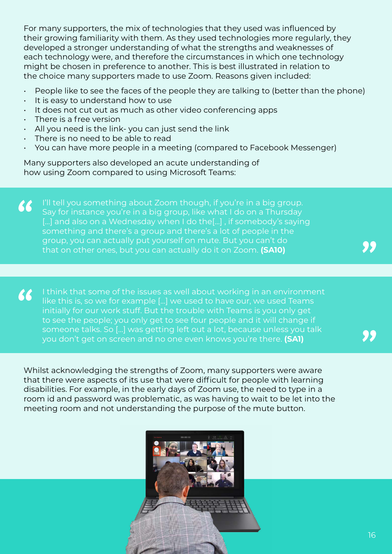For many supporters, the mix of technologies that they used was influenced by their growing familiarity with them. As they used technologies more regularly, they developed a stronger understanding of what the strengths and weaknesses of each technology were, and therefore the circumstances in which one technology might be chosen in preference to another. This is best illustrated in relation to the choice many supporters made to use Zoom. Reasons given included:

- $\cdot$  People like to see the faces of the people they are talking to (better than the phone)
- It is easy to understand how to use
- It does not cut out as much as other video conferencing apps
- There is a free version
- All you need is the link- you can just send the link
- There is no need to be able to read
- You can have more people in a meeting (compared to Facebook Messenger)

Many supporters also developed an acute understanding of how using Zoom compared to using Microsoft Teams:

I'll tell you something about Zoom though, if you're in a big group. 66 Say for instance you're in a big group, like what I do on a Thursday [...] and also on a Wednesday when I do the[...], if somebody's saying something and there's a group and there's a lot of people in the group, you can actually put yourself on mute. But you can't do that on other ones, but you can actually do it on Zoom. **(SA10)**

I think that some of the issues as well about working in an environment 66 like this is, so we for example […] we used to have our, we used Teams initially for our work stuff. But the trouble with Teams is you only get to see the people; you only get to see four people and it will change if someone talks. So […] was getting left out a lot, because unless you talk you don't get on screen and no one even knows you're there. **(SA1)**

Whilst acknowledging the strengths of Zoom, many supporters were aware that there were aspects of its use that were difficult for people with learning disabilities. For example, in the early days of Zoom use, the need to type in a room id and password was problematic, as was having to wait to be let into the meeting room and not understanding the purpose of the mute button.

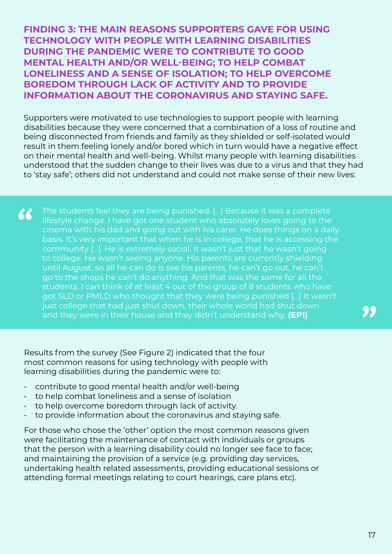**FINDING 3: THE MAIN REASONS SUPPORTERS GAVE FOR USING TECHNOLOGY WITH PEOPLE WITH LEARNING DISABILITIES DURING THE PANDEMIC WERE TO CONTRIBUTE TO GOOD MENTAL HEALTH AND/OR WELL-BEING; TO HELP COMBAT LONELINESS AND A SENSE OF ISOLATION; TO HELP OVERCOME BOREDOM THROUGH LACK OF ACTIVITY AND TO PROVIDE INFORMATION ABOUT THE CORONAVIRUS AND STAYING SAFE.**

Supporters were motivated to use technologies to support people with learning disabilities because they were concerned that a combination of a loss of routine and being disconnected from friends and family as they shielded or self-isolated would result in them feeling lonely and/or bored which in turn would have a negative effect on their mental health and well-being. Whilst many people with learning disabilities understood that the sudden change to their lives was due to a virus and that they had to 'stay safe'; others did not understand and could not make sense of their new lives:

66 The students feel they are being punished. […] Because it was a complete lifestyle change. I have got one student who absolutely loves going to the cinema with his dad and going out with his carer. He does things on a daily basis. It's very important that when he is in college, that he is accessing the community […]. He is extremely social. It wasn't just that he wasn't going to college. He wasn't seeing anyone. His parents are currently shielding until August, so all he can do is see his parents, he can't go out, he can't go to the shops he can't do anything. And that was the same for all the students. I can think of at least 4 out of the group of 8 students who have got SLD or PMLD who thought that they were being punished […] It wasn't just college that had just shut down, their whole world had shut down and they were in their house and they didn't understand why. **(EP1)**

Results from the survey (See Figure 2) indicated that the four most common reasons for using technology with people with learning disabilities during the pandemic were to:

- contribute to good mental health and/or well-being
- to help combat loneliness and a sense of isolation
- to help overcome boredom through lack of activity.
- to provide information about the coronavirus and staving safe.

For those who chose the 'other' option the most common reasons given were facilitating the maintenance of contact with individuals or groups that the person with a learning disability could no longer see face to face; and maintaining the provision of a service (e.g. providing day services, undertaking health related assessments, providing educational sessions or attending formal meetings relating to court hearings, care plans etc).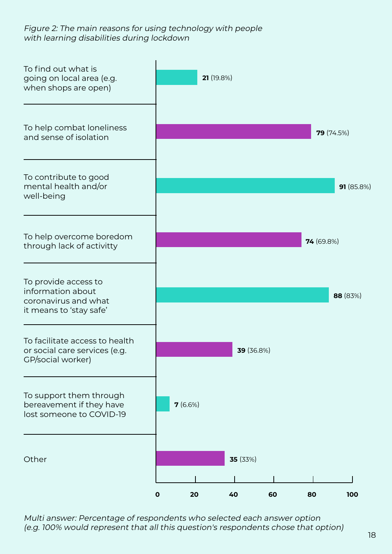#### Figure 2: The main reasons for using technology with people with learning disabilities during lockdown



Multi answer: Percentage of respondents who selected each answer option (e.g. 100% would represent that all this question's respondents chose that option)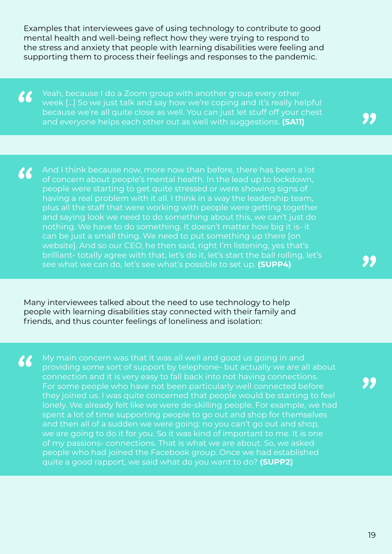Examples that interviewees gave of using technology to contribute to good mental health and well-being reflect how they were trying to respond to the stress and anxiety that people with learning disabilities were feeling and supporting them to process their feelings and responses to the pandemic.

66 Yeah, because I do a Zoom group with another group every other week […] So we just talk and say how we're coping and it's really helpful because we're all quite close as well. You can just let stuff off your chest and everyone helps each other out as well with suggestions. **(SA11)**

And I think because now, more now than before, there has been a lot 66 of concern about people's mental health. In the lead up to lockdown, people were starting to get quite stressed or were showing signs of having a real problem with it all. I think in a way the leadership team, plus all the staff that were working with people were getting together and saying look we need to do something about this, we can't just do nothing. We have to do something. It doesn't matter how big it is- it can be just a small thing. We need to put something up there [on website]. And so our CEO, he then said, right I'm listening, yes that's brilliant- totally agree with that, let's do it, let's start the ball rolling, let's see what we can do, let's see what's possible to set up. **(SUPP4)**

Many interviewees talked about the need to use technology to help people with learning disabilities stay connected with their family and friends, and thus counter feelings of loneliness and isolation:

66 My main concern was that it was all well and good us going in and providing some sort of support by telephone- but actually we are all about connection and it is very easy to fall back into not having connections. For some people who have not been particularly well connected before they joined us. I was quite concerned that people would be starting to feel lonely. We already felt like we were de-skilling people. For example, we had spent a lot of time supporting people to go out and shop for themselves and then all of a sudden we were going: no you can't go out and shop, we are going to do it for you. So it was kind of important to me. It is one of my passions- connections. That is what we are about. So, we asked people who had joined the Facebook group. Once we had established quite a good rapport, we said what do you want to do? **(SUPP2)**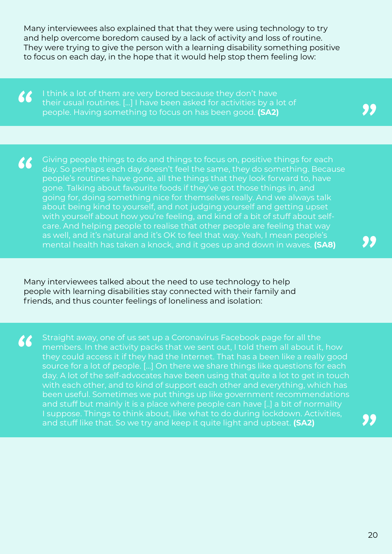Many interviewees also explained that that they were using technology to try and help overcome boredom caused by a lack of activity and loss of routine. They were trying to give the person with a learning disability something positive to focus on each day, in the hope that it would help stop them feeling low:

I think a lot of them are very bored because they don't have 66 their usual routines. […] I have been asked for activities by a lot of people. Having something to focus on has been good. **(SA2)**

Giving people things to do and things to focus on, positive things for each 66 day. So perhaps each day doesn't feel the same, they do something. Because people's routines have gone, all the things that they look forward to, have gone. Talking about favourite foods if they've got those things in, and going for, doing something nice for themselves really. And we always talk about being kind to yourself, and not judging yourself and getting upset with yourself about how you're feeling, and kind of a bit of stuff about selfcare. And helping people to realise that other people are feeling that way as well, and it's natural and it's OK to feel that way. Yeah, I mean people's mental health has taken a knock, and it goes up and down in waves. **(SA8)**

Many interviewees talked about the need to use technology to help people with learning disabilities stay connected with their family and friends, and thus counter feelings of loneliness and isolation:

Straight away, one of us set up a Coronavirus Facebook page for all the 66 members. In the activity packs that we sent out, I told them all about it, how they could access it if they had the Internet. That has a been like a really good source for a lot of people. […] On there we share things like questions for each day. A lot of the self-advocates have been using that quite a lot to get in touch with each other, and to kind of support each other and everything, which has been useful. Sometimes we put things up like government recommendations and stuff but mainly it is a place where people can have [..] a bit of normality I suppose. Things to think about, like what to do during lockdown. Activities, and stuff like that. So we try and keep it quite light and upbeat. **(SA2)**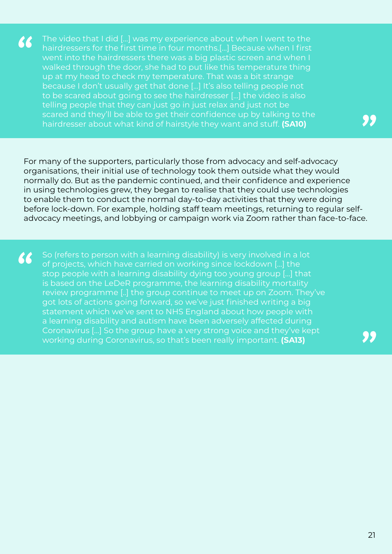The video that I did […] was my experience about when I went to the 66 hairdressers for the first time in four months.[…] Because when I first went into the hairdressers there was a big plastic screen and when I walked through the door, she had to put like this temperature thing up at my head to check my temperature. That was a bit strange because I don't usually get that done […] It's also telling people not to be scared about going to see the hairdresser […] the video is also telling people that they can just go in just relax and just not be scared and they'll be able to get their confidence up by talking to the hairdresser about what kind of hairstyle they want and stuff. **(SA10)**

For many of the supporters, particularly those from advocacy and self-advocacy organisations, their initial use of technology took them outside what they would normally do. But as the pandemic continued, and their confidence and experience in using technologies grew, they began to realise that they could use technologies to enable them to conduct the normal day-to-day activities that they were doing before lock-down. For example, holding staff team meetings, returning to regular selfadvocacy meetings, and lobbying or campaign work via Zoom rather than face-to-face.

66 So (refers to person with a learning disability) is very involved in a lot of projects, which have carried on working since lockdown […] the stop people with a learning disability dying too young group […] that is based on the LeDeR programme, the learning disability mortality review programme [..] the group continue to meet up on Zoom. They've got lots of actions going forward, so we've just finished writing a big statement which we've sent to NHS England about how people with a learning disability and autism have been adversely affected during Coronavirus […] So the group have a very strong voice and they've kept working during Coronavirus, so that's been really important. **(SA13)**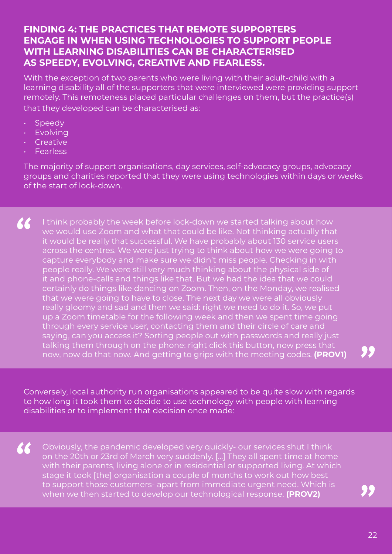#### **FINDING 4: THE PRACTICES THAT REMOTE SUPPORTERS ENGAGE IN WHEN USING TECHNOLOGIES TO SUPPORT PEOPLE WITH LEARNING DISABILITIES CAN BE CHARACTERISED AS SPEEDY, EVOLVING, CREATIVE AND FEARLESS.**

With the exception of two parents who were living with their adult-child with a learning disability all of the supporters that were interviewed were providing support remotely. This remoteness placed particular challenges on them, but the practice(s) that they developed can be characterised as:

- Speedy
- Evolving
- Creative
- **Fearless**

The majority of support organisations, day services, self-advocacy groups, advocacy groups and charities reported that they were using technologies within days or weeks of the start of lock-down.

 $\epsilon$ I think probably the week before lock-down we started talking about how we would use Zoom and what that could be like. Not thinking actually that it would be really that successful. We have probably about 130 service users across the centres. We were just trying to think about how we were going to capture everybody and make sure we didn't miss people. Checking in with people really. We were still very much thinking about the physical side of it and phone-calls and things like that. But we had the idea that we could certainly do things like dancing on Zoom. Then, on the Monday, we realised that we were going to have to close. The next day we were all obviously really gloomy and sad and then we said: right we need to do it. So, we put up a Zoom timetable for the following week and then we spent time going through every service user, contacting them and their circle of care and saying, can you access it? Sorting people out with passwords and really just talking them through on the phone: right click this button, now press that now, now do that now. And getting to grips with the meeting codes. **(PROV1)**

Conversely, local authority run organisations appeared to be quite slow with regards to how long it took them to decide to use technology with people with learning disabilities or to implement that decision once made:

66 Obviously, the pandemic developed very quickly- our services shut I think on the 20th or 23rd of March very suddenly. […] They all spent time at home with their parents, living alone or in residential or supported living. At which stage it took [the] organisation a couple of months to work out how best to support those customers- apart from immediate urgent need. Which is when we then started to develop our technological response. **(PROV2)**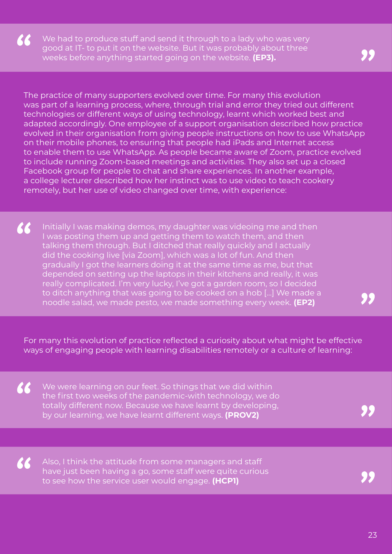$\boldsymbol{\mathcal{K}}$ We had to produce stuff and send it through to a lady who was very good at IT- to put it on the website. But it was probably about three weeks before anything started going on the website. **(EP3).**

The practice of many supporters evolved over time. For many this evolution was part of a learning process, where, through trial and error they tried out different technologies or different ways of using technology, learnt which worked best and adapted accordingly. One employee of a support organisation described how practice evolved in their organisation from giving people instructions on how to use WhatsApp on their mobile phones, to ensuring that people had iPads and Internet access to enable them to use WhatsApp. As people became aware of Zoom, practice evolved to include running Zoom-based meetings and activities. They also set up a closed Facebook group for people to chat and share experiences. In another example, a college lecturer described how her instinct was to use video to teach cookery remotely, but her use of video changed over time, with experience:

66 Initially I was making demos, my daughter was videoing me and then I was posting them up and getting them to watch them, and then talking them through. But I ditched that really quickly and I actually did the cooking live [via Zoom], which was a lot of fun. And then gradually I got the learners doing it at the same time as me, but that depended on setting up the laptops in their kitchens and really, it was really complicated. I'm very lucky, I've got a garden room, so I decided to ditch anything that was going to be cooked on a hob […] We made a noodle salad, we made pesto, we made something every week. **(EP2)**

For many this evolution of practice reflected a curiosity about what might be effective ways of engaging people with learning disabilities remotely or a culture of learning:

We were learning on our feet. So things that we did within the first two weeks of the pandemic-with technology, we do totally different now. Because we have learnt by developing, by our learning, we have learnt different ways. **(PROV2)**

66

66

Also, I think the attitude from some managers and staff have just been having a go, some staff were quite curious to see how the service user would engage. **(HCP1)**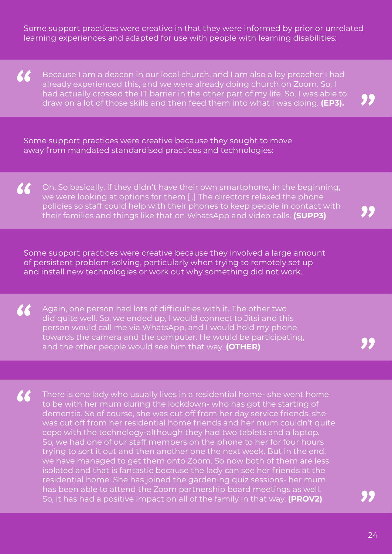Some support practices were creative in that they were informed by prior or unrelated learning experiences and adapted for use with people with learning disabilities:

 $\epsilon$ Because I am a deacon in our local church, and I am also a lay preacher I had already experienced this, and we were already doing church on Zoom. So, I had actually crossed the IT barrier in the other part of my life. So, I was able to draw on a lot of those skills and then feed them into what I was doing. **(EP3).**

Some support practices were creative because they sought to move away from mandated standardised practices and technologies:

66 Oh. So basically, if they didn't have their own smartphone, in the beginning, we were looking at options for them [..] The directors relaxed the phone policies so staff could help with their phones to keep people in contact with their families and things like that on WhatsApp and video calls. **(SUPP3)**

Some support practices were creative because they involved a large amount of persistent problem-solving, particularly when trying to remotely set up and install new technologies or work out why something did not work.

Again, one person had lots of difficulties with it. The other two did quite well. So, we ended up, I would connect to Jitsi and this person would call me via WhatsApp, and I would hold my phone towards the camera and the computer. He would be participating, and the other people would see him that way. **(OTHER)**

66

 $\boldsymbol{\mathcal{K}}$ There is one lady who usually lives in a residential home- she went home to be with her mum during the lockdown- who has got the starting of dementia. So of course, she was cut off from her day service friends, she was cut off from her residential home friends and her mum couldn't quite cope with the technology-although they had two tablets and a laptop. So, we had one of our staff members on the phone to her for four hours trying to sort it out and then another one the next week. But in the end, we have managed to get them onto Zoom. So now both of them are less isolated and that is fantastic because the lady can see her friends at the residential home. She has joined the gardening quiz sessions- her mum has been able to attend the Zoom partnership board meetings as well. So, it has had a positive impact on all of the family in that way. **(PROV2)**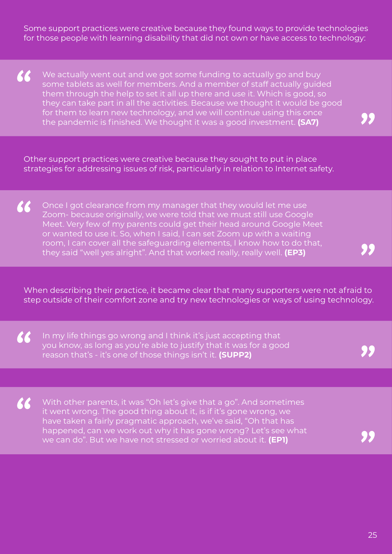Some support practices were creative because they found ways to provide technologies for those people with learning disability that did not own or have access to technology:

 $\boldsymbol{\mathcal{K}}$ We actually went out and we got some funding to actually go and buy some tablets as well for members. And a member of staff actually guided them through the help to set it all up there and use it. Which is good, so they can take part in all the activities. Because we thought it would be good for them to learn new technology, and we will continue using this once the pandemic is finished. We thought it was a good investment. **(SA7)**

Other support practices were creative because they sought to put in place strategies for addressing issues of risk, particularly in relation to Internet safety.

 $\boldsymbol{\mathcal{K}}$ Once I got clearance from my manager that they would let me use Zoom- because originally, we were told that we must still use Google Meet. Very few of my parents could get their head around Google Meet or wanted to use it. So, when I said, I can set Zoom up with a waiting room, I can cover all the safeguarding elements, I know how to do that, they said "well yes alright". And that worked really, really well. **(EP3)**

When describing their practice, it became clear that many supporters were not afraid to step outside of their comfort zone and try new technologies or ways of using technology.

 $\boldsymbol{\mathcal{K}}$ In my life things go wrong and I think it's just accepting that you know, as long as you're able to justify that it was for a good reason that's - it's one of those things isn't it. **(SUPP2)**

66

With other parents, it was "Oh let's give that a go". And sometimes it went wrong. The good thing about it, is if it's gone wrong, we have taken a fairly pragmatic approach, we've said, "Oh that has happened, can we work out why it has gone wrong? Let's see what we can do". But we have not stressed or worried about it. **(EP1)**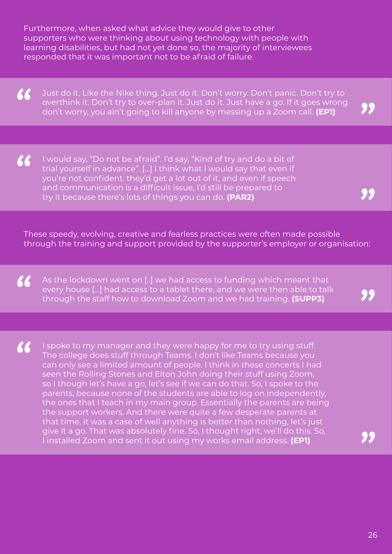Furthermore, when asked what advice they would give to other supporters who were thinking about using technology with people with learning disabilities, but had not yet done so, the majority of interviewees responded that it was important not to be afraid of failure.

66 Just do it. Like the Nike thing. Just do it. Don't worry. Don't panic. Don't try to overthink it. Don't try to over-plan it. Just do it. Just have a go. If it goes wrong don't worry, you ain't going to kill anyone by messing up a Zoom call. **(EP1)**

66 I would say, "Do not be afraid". I'd say, "Kind of try and do a bit of trial yourself in advance". […] I think what I would say that even if you're not confident. they'd get a lot out of it, and even if speech and communication is a difficult issue, I'd still be prepared to try it because there's lots of things you can do. **(PAR2)**

These speedy, evolving, creative and fearless practices were often made possible through the training and support provided by the supporter's employer or organisation:

66 As the lockdown went on [..] we had access to funding which meant that every house […] had access to a tablet there, and we were then able to talk through the staff how to download Zoom and we had training. **(SUPP3)**

66 I spoke to my manager and they were happy for me to try using stuff. The college does stuff through Teams. I don't like Teams because you can only see a limited amount of people. I think in these concerts I had seen the Rolling Stones and Elton John doing their stuff using Zoom, so I though let's have a go, let's see if we can do that. So, I spoke to the parents, because none of the students are able to log on independently, the ones that I teach in my main group. Essentially the parents are being the support workers. And there were quite a few desperate parents at that time. It was a case of well anything is better than nothing, let's just give it a go. That was absolutely fine. So, I thought right, we'll do this. So, I installed Zoom and sent it out using my works email address. **(EP1)**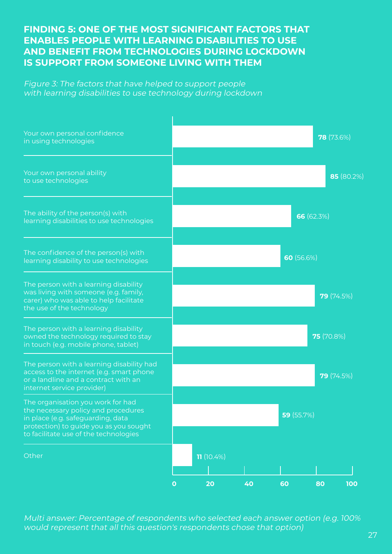#### **FINDING 5: ONE OF THE MOST SIGNIFICANT FACTORS THAT ENABLES PEOPLE WITH LEARNING DISABILITIES TO USE AND BENEFIT FROM TECHNOLOGIES DURING LOCKDOWN IS SUPPORT FROM SOMEONE LIVING WITH THEM**

Figure 3: The factors that have helped to support people with learning disabilities to use technology during lockdown



Multi answer: Percentage of respondents who selected each answer option (e.g. 100% would represent that all this question's respondents chose that option)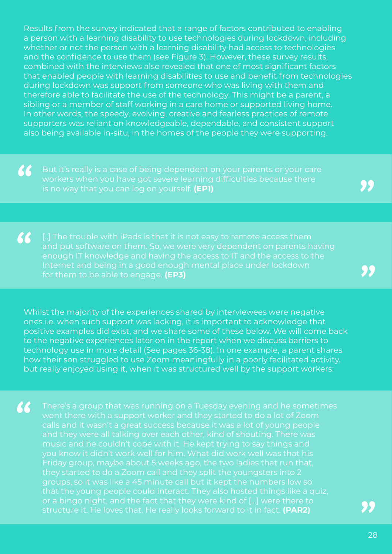Results from the survey indicated that a range of factors contributed to enabling a person with a learning disability to use technologies during lockdown, including whether or not the person with a learning disability had access to technologies and the confidence to use them (see Figure 3). However, these survey results, combined with the interviews also revealed that one of most significant factors that enabled people with learning disabilities to use and benefit from technologies during lockdown was support from someone who was living with them and therefore able to facilitate the use of the technology. This might be a parent, a sibling or a member of staff working in a care home or supported living home. In other words, the speedy, evolving, creative and fearless practices of remote supporters was reliant on knowledgeable, dependable, and consistent support also being available in-situ, in the homes of the people they were supporting.

" But it's really is a case of being dependent on your parents or your care workers when you have got severe learning difficulties because there is no way that you can log on yourself. **(EP1)**

66 enough IT knowledge and having the access to IT and the access to the for them to be able to engage. **(EP3)**

Whilst the majority of the experiences shared by interviewees were negative ones i.e. when such support was lacking, it is important to acknowledge that positive examples did exist, and we share some of these below. We will come back to the negative experiences later on in the report when we discuss barriers to technology use in more detail (See pages 36-38). In one example, a parent shares how their son struggled to use Zoom meaningfully in a poorly facilitated activity, but really enjoyed using it, when it was structured well by the support workers:

66 went there with a support worker and they started to do a lot of Zoom Friday group, maybe about 5 weeks ago, the two ladies that run that, they started to do a Zoom call and they split the youngsters into 2 or a bingo night, and the fact that they were kind of […] were there to structure it. He loves that. He really looks forward to it in fact. **(PAR2)**

"<br>"<br>"

28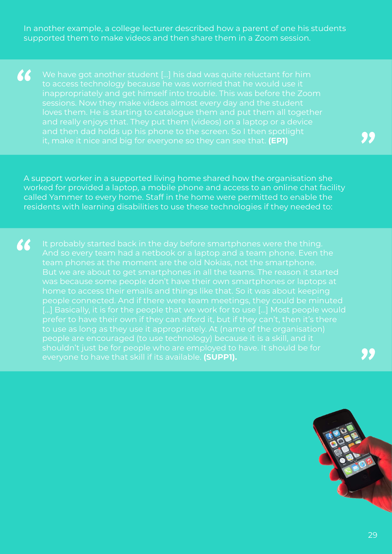In another example, a college lecturer described how a parent of one his students supported them to make videos and then share them in a Zoom session.

 $\epsilon$ to access technology because he was worried that he would use it inappropriately and get himself into trouble. This was before the Zoom loves them. He is starting to catalogue them and put them all together it, make it nice and big for everyone so they can see that. **(EP1)**

A support worker in a supported living home shared how the organisation she worked for provided a laptop, a mobile phone and access to an online chat facility called Yammer to every home. Staff in the home were permitted to enable the residents with learning disabilities to use these technologies if they needed to:

66 And so every team had a netbook or a laptop and a team phone. Even the team phones at the moment are the old Nokias, not the smartphone. people connected. And if there were team meetings, they could be minuted people are encouraged (to use technology) because it is a skill, and it everyone to have that skill if its available. **(SUPP1).**

95

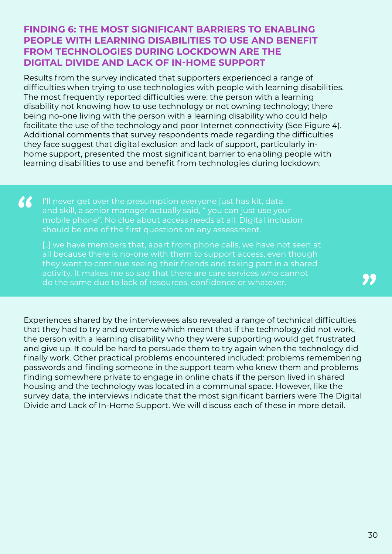#### **FINDING 6: THE MOST SIGNIFICANT BARRIERS TO ENABLING PEOPLE WITH LEARNING DISABILITIES TO USE AND BENEFIT FROM TECHNOLOGIES DURING LOCKDOWN ARE THE DIGITAL DIVIDE AND LACK OF IN-HOME SUPPORT**

Results from the survey indicated that supporters experienced a range of difficulties when trying to use technologies with people with learning disabilities. The most frequently reported difficulties were: the person with a learning disability not knowing how to use technology or not owning technology; there being no-one living with the person with a learning disability who could help facilitate the use of the technology and poor Internet connectivity (See Figure 4). Additional comments that survey respondents made regarding the difficulties they face suggest that digital exclusion and lack of support, particularly inhome support, presented the most significant barrier to enabling people with learning disabilities to use and benefit from technologies during lockdown:

66 I'll never get over the presumption everyone just has kit, data and skill, a senior manager actually said, " you can just use your mobile phone". No clue about access needs at all. Digital inclusion should be one of the first questions on any assessment.

[..] we have members that, apart from phone calls, we have not seen at all because there is no-one with them to support access, even though they want to continue seeing their friends and taking part in a shared do the same due to lack of resources, confidence or whatever.

Experiences shared by the interviewees also revealed a range of technical difficulties that they had to try and overcome which meant that if the technology did not work, the person with a learning disability who they were supporting would get frustrated and give up. It could be hard to persuade them to try again when the technology did finally work. Other practical problems encountered included: problems remembering passwords and finding someone in the support team who knew them and problems finding somewhere private to engage in online chats if the person lived in shared housing and the technology was located in a communal space. However, like the survey data, the interviews indicate that the most significant barriers were The Digital Divide and Lack of In-Home Support. We will discuss each of these in more detail.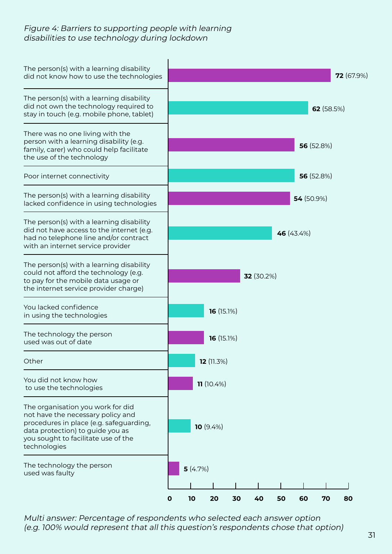#### Figure 4: Barriers to supporting people with learning disabilities to use technology during lockdown



Multi answer: Percentage of respondents who selected each answer option (e.g. 100% would represent that all this question's respondents chose that option)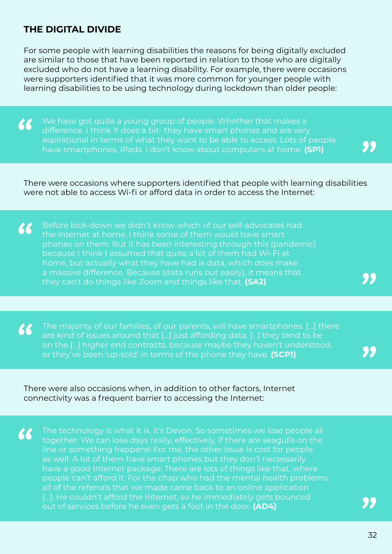#### **THE DIGITAL DIVIDE**

66

For some people with learning disabilities the reasons for being digitally excluded are similar to those that have been reported in relation to those who are digitally excluded who do not have a learning disability. For example, there were occasions were supporters identified that it was more common for younger people with learning disabilities to be using technology during lockdown than older people:

We have got quite a young group of people. Whether that makes a 66 difference. I think it does a bit- they have smart phones and are very aspirational in terms of what they want to be able to access. Lots of people have smartphones, iPads. I don't know about computers at home. **(SP1)**

There were occasions where supporters identified that people with learning disabilities were not able to access Wi-fi or afford data in order to access the Internet:

66 Before lock-down we didn't know which of our self-advocates had the Internet at home. I think some of them would have smart phones on them. But it has been interesting through this (pandemic) because I think I assumed that quite a lot of them had Wi-Fi at home, but actually what they have had is data, which does make a massive difference. Because (data runs out easily), it means that they can't do things like Zoom and things like that. **(SA2)**

The majority of our families, of our parents, will have smartphones. […] there  $\epsilon$ are kind of issues around that […] just affording data. […] they tend to be on the […] higher end contracts, because maybe they haven't understood, or they've been 'up-sold' in terms of the phone they have. **(SCP1)**

There were also occasions when, in addition to other factors, Internet connectivity was a frequent barrier to accessing the Internet:

The technology is what it is, it's Devon. So sometimes we lose people all together. We can lose days really, effectively, if there are seagulls on the line or something happens! For me, the other issue is cost for people as well. A lot of them have smart phones but they don't necessarily have a good Internet package. There are lots of things like that, where people can't afford it. For the chap who had the mental health problems all of the referrals that we made came back to an online application [...]. He couldn't afford the Internet, so he immediately gets bounced out of services before he even gets a foot in the door. **(AD4)**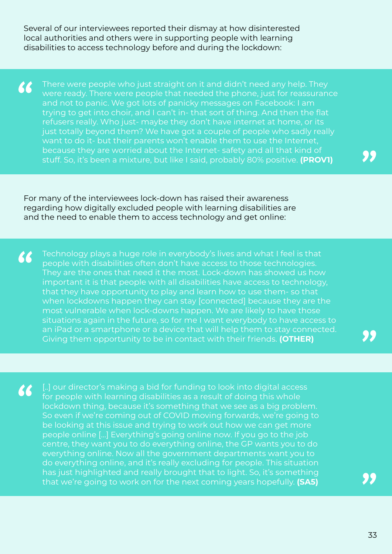Several of our interviewees reported their dismay at how disinterested local authorities and others were in supporting people with learning disabilities to access technology before and during the lockdown:

There were people who just straight on it and didn't need any help. They 66 were ready. There were people that needed the phone, just for reassurance and not to panic. We got lots of panicky messages on Facebook: I am trying to get into choir, and I can't in- that sort of thing. And then the flat refusers really. Who just- maybe they don't have internet at home, or its just totally beyond them? We have got a couple of people who sadly really want to do it- but their parents won't enable them to use the Internet, because they are worried about the Internet- safety and all that kind of stuff. So, it's been a mixture, but like I said, probably 80% positive. **(PROV1)**

For many of the interviewees lock-down has raised their awareness regarding how digitally excluded people with learning disabilities are and the need to enable them to access technology and get online:

Technology plays a huge role in everybody's lives and what I feel is that 66 people with disabilities often don't have access to those technologies. They are the ones that need it the most. Lock-down has showed us how important it is that people with all disabilities have access to technology, that they have opportunity to play and learn how to use them- so that when lockdowns happen they can stay [connected] because they are the most vulnerable when lock-downs happen. We are likely to have those situations again in the future, so for me I want everybody to have access to an iPad or a smartphone or a device that will help them to stay connected. Giving them opportunity to be in contact with their friends. **(OTHER)**

[..] our director's making a bid for funding to look into digital access 66 for people with learning disabilities as a result of doing this whole lockdown thing, because it's something that we see as a big problem. So even if we're coming out of COVID moving forwards, we're going to be looking at this issue and trying to work out how we can get more people online […] Everything's going online now. If you go to the job centre, they want you to do everything online, the GP wants you to do everything online. Now all the government departments want you to do everything online, and it's really excluding for people. This situation has just highlighted and really brought that to light. So, it's something that we're going to work on for the next coming years hopefully. **(SA5)**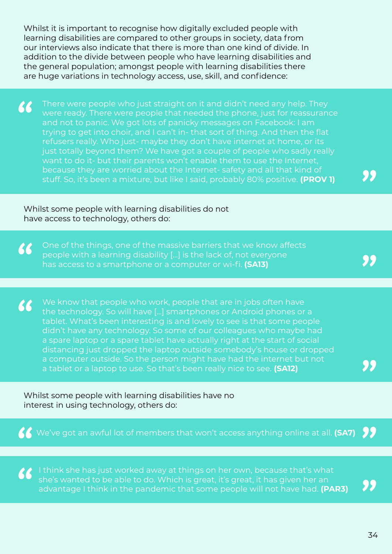Whilst it is important to recognise how digitally excluded people with learning disabilities are compared to other groups in society, data from our interviews also indicate that there is more than one kind of divide. In addition to the divide between people who have learning disabilities and the general population; amongst people with learning disabilities there are huge variations in technology access, use, skill, and confidence:

66 There were people who just straight on it and didn't need any help. They were ready. There were people that needed the phone, just for reassurance and not to panic. We got lots of panicky messages on Facebook: I am trying to get into choir, and I can't in- that sort of thing. And then the flat refusers really. Who just- maybe they don't have internet at home, or its just totally beyond them? We have got a couple of people who sadly really want to do it- but their parents won't enable them to use the Internet, because they are worried about the Internet- safety and all that kind of stuff. So, it's been a mixture, but like I said, probably 80% positive. **(PROV 1)**

Whilst some people with learning disabilities do not have access to technology, others do:

One of the things, one of the massive barriers that we know affects 66 people with a learning disability […] is the lack of, not everyone has access to a smartphone or a computer or wi-fi. **(SA13)**

We know that people who work, people that are in jobs often have 66 the technology. So will have […] smartphones or Android phones or a tablet. What's been interesting is and lovely to see is that some people didn't have any technology. So some of our colleagues who maybe had a spare laptop or a spare tablet have actually right at the start of social distancing just dropped the laptop outside somebody's house or dropped a computer outside. So the person might have had the internet but not a tablet or a laptop to use. So that's been really nice to see. **(SA12)**

Whilst some people with learning disabilities have no interest in using technology, others do:

We've got an awful lot of members that won't access anything online at all. **(SA7)**

I think she has just worked away at things on her own, because that's what she's wanted to be able to do. Which is great, it's great, it has given her an advantage I think in the pandemic that some people will not have had. **(PAR3)**

95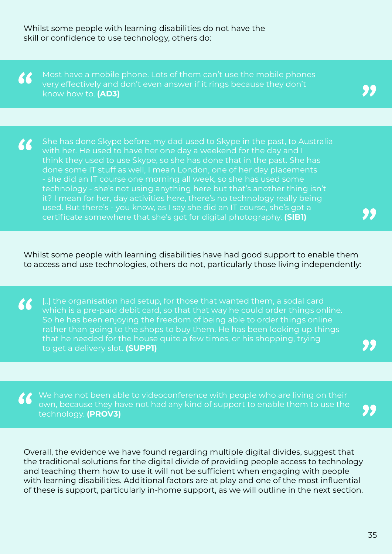Whilst some people with learning disabilities do not have the skill or confidence to use technology, others do:

Most have a mobile phone. Lots of them can't use the mobile phones 66 very effectively and don't even answer if it rings because they don't know how to. **(AD3)**

She has done Skype before, my dad used to Skype in the past, to Australia 66 with her. He used to have her one day a weekend for the day and I think they used to use Skype, so she has done that in the past. She has done some IT stuff as well, I mean London, one of her day placements - she did an IT course one morning all week, so she has used some technology - she's not using anything here but that's another thing isn't it? I mean for her, day activities here, there's no technology really being used. But there's - you know, as I say she did an IT course, she's got a certificate somewhere that she's got for digital photography. **(SIB1)**

Whilst some people with learning disabilities have had good support to enable them to access and use technologies, others do not, particularly those living independently:

[..] the organisation had setup, for those that wanted them, a sodal card 66 which is a pre-paid debit card, so that that way he could order things online. So he has been enjoying the freedom of being able to order things online rather than going to the shops to buy them. He has been looking up things that he needed for the house quite a few times, or his shopping, trying to get a delivery slot. **(SUPP1)**

We have not been able to videoconference with people who are living on their own, because they have not had any kind of support to enable them to use the technology. **(PROV3)**

Overall, the evidence we have found regarding multiple digital divides, suggest that the traditional solutions for the digital divide of providing people access to technology and teaching them how to use it will not be sufficient when engaging with people with learning disabilities. Additional factors are at play and one of the most influential of these is support, particularly in-home support, as we will outline in the next section.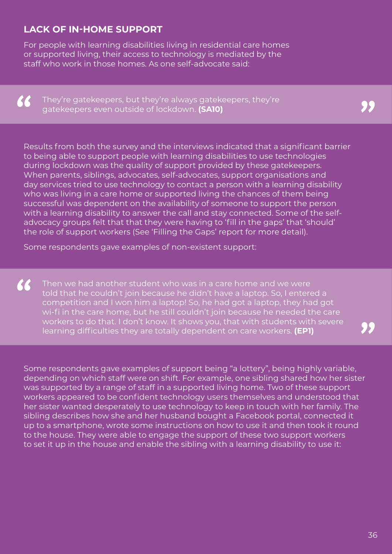### **LACK OF IN-HOME SUPPORT**

For people with learning disabilities living in residential care homes or supported living, their access to technology is mediated by the staff who work in those homes. As one self-advocate said:

66

They're gatekeepers, but they're always gatekeepers, they're gatekeepers even outside of lockdown. **(SA10)**

Results from both the survey and the interviews indicated that a significant barrier to being able to support people with learning disabilities to use technologies during lockdown was the quality of support provided by these gatekeepers. When parents, siblings, advocates, self-advocates, support organisations and day services tried to use technology to contact a person with a learning disability who was living in a care home or supported living the chances of them being successful was dependent on the availability of someone to support the person with a learning disability to answer the call and stay connected. Some of the selfadvocacy groups felt that that they were having to 'fill in the gaps' that 'should' the role of support workers (See 'Filling the Gaps' report for more detail).

Some respondents gave examples of non-existent support:

66 Then we had another student who was in a care home and we were told that he couldn't join because he didn't have a laptop. So, I entered a competition and I won him a laptop! So, he had got a laptop, they had got wi-fi in the care home, but he still couldn't join because he needed the care workers to do that. I don't know. It shows you, that with students with severe learning difficulties they are totally dependent on care workers. **(EP1)**

Some respondents gave examples of support being "a lottery", being highly variable, depending on which staff were on shift. For example, one sibling shared how her sister was supported by a range of staff in a supported living home. Two of these support workers appeared to be confident technology users themselves and understood that her sister wanted desperately to use technology to keep in touch with her family. The sibling describes how she and her husband bought a Facebook portal, connected it up to a smartphone, wrote some instructions on how to use it and then took it round to the house. They were able to engage the support of these two support workers to set it up in the house and enable the sibling with a learning disability to use it: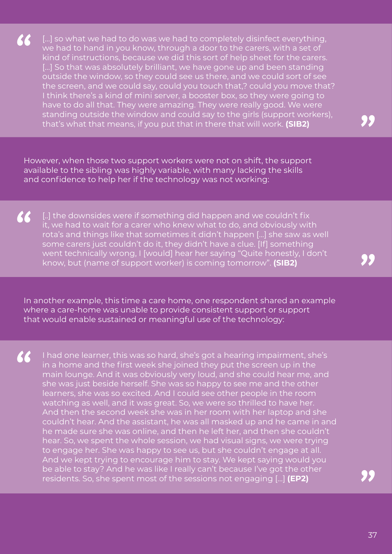[...] so what we had to do was we had to completely disinfect everything, we had to hand in you know, through a door to the carers, with a set of kind of instructions, because we did this sort of help sheet for the carers. [...] So that was absolutely brilliant, we have gone up and been standing outside the window, so they could see us there, and we could sort of see the screen, and we could say, could you touch that,? could you move that? I think there's a kind of mini server, a booster box, so they were going to have to do all that. They were amazing. They were really good. We were standing outside the window and could say to the girls (support workers), that's what that means, if you put that in there that will work. **(SIB2)**

66

However, when those two support workers were not on shift, the support available to the sibling was highly variable, with many lacking the skills and confidence to help her if the technology was not working:

66 [..] the downsides were if something did happen and we couldn't fix it, we had to wait for a carer who knew what to do, and obviously with rota's and things like that sometimes it didn't happen […] she saw as well some carers just couldn't do it, they didn't have a clue. [If] something went technically wrong, I [would] hear her saying "Quite honestly, I don't know, but (name of support worker) is coming tomorrow". **(SIB2)**

In another example, this time a care home, one respondent shared an example where a care-home was unable to provide consistent support or support that would enable sustained or meaningful use of the technology:

66 I had one learner, this was so hard, she's got a hearing impairment, she's in a home and the first week she joined they put the screen up in the main lounge. And it was obviously very loud, and she could hear me, and she was just beside herself. She was so happy to see me and the other learners, she was so excited. And I could see other people in the room watching as well, and it was great. So, we were so thrilled to have her. And then the second week she was in her room with her laptop and she couldn't hear. And the assistant, he was all masked up and he came in and he made sure she was online, and then he left her, and then she couldn't hear. So, we spent the whole session, we had visual signs, we were trying to engage her. She was happy to see us, but she couldn't engage at all. And we kept trying to encourage him to stay. We kept saying would you be able to stay? And he was like I really can't because I've got the other residents. So, she spent most of the sessions not engaging […] **(EP2)**

37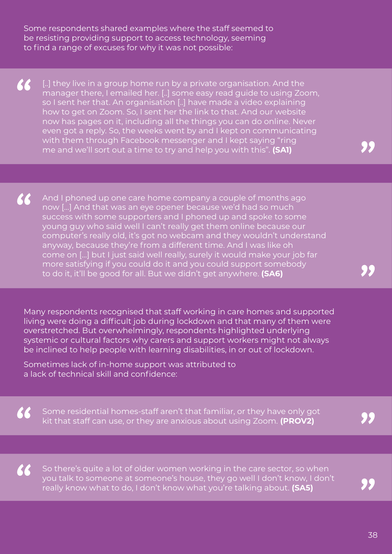Some respondents shared examples where the staff seemed to be resisting providing support to access technology, seeming to find a range of excuses for why it was not possible:

66 [..] they live in a group home run by a private organisation. And the manager there, I emailed her. [..] some easy read guide to using Zoom, so I sent her that. An organisation [..] have made a video explaining how to get on Zoom. So, I sent her the link to that. And our website now has pages on it, including all the things you can do online. Never even got a reply. So, the weeks went by and I kept on communicating with them through Facebook messenger and I kept saying "ring me and we'll sort out a time to try and help you with this". **(SA1)**

66 And I phoned up one care home company a couple of months ago now […] And that was an eye opener because we'd had so much success with some supporters and I phoned up and spoke to some young guy who said well I can't really get them online because our computer's really old, it's got no webcam and they wouldn't understand anyway, because they're from a different time. And I was like oh come on […] but I just said well really, surely it would make your job far more satisfying if you could do it and you could support somebody to do it, it'll be good for all. But we didn't get anywhere. **(SA6)**

Many respondents recognised that staff working in care homes and supported living were doing a difficult job during lockdown and that many of them were overstretched. But overwhelmingly, respondents highlighted underlying systemic or cultural factors why carers and support workers might not always be inclined to help people with learning disabilities, in or out of lockdown.

Sometimes lack of in-home support was attributed to a lack of technical skill and confidence:

 $\boldsymbol{\mathcal{K}}$ 

66 Some residential homes-staff aren't that familiar, or they have only got kit that staff can use, or they are anxious about using Zoom. **(PROV2)**

So there's quite a lot of older women working in the care sector, so when you talk to someone at someone's house, they go well I don't know, I don't really know what to do, I don't know what you're talking about. **(SA5)**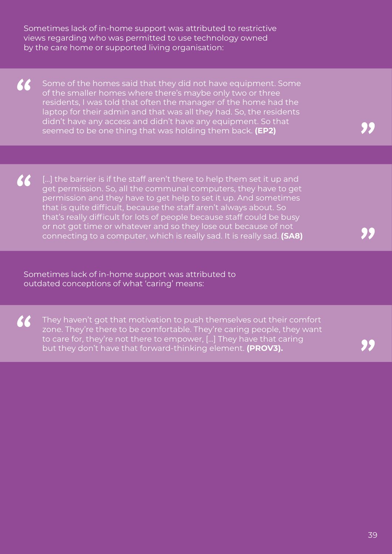Sometimes lack of in-home support was attributed to restrictive views regarding who was permitted to use technology owned by the care home or supported living organisation:

66 Some of the homes said that they did not have equipment. Some of the smaller homes where there's maybe only two or three residents, I was told that often the manager of the home had the laptop for their admin and that was all they had. So, the residents didn't have any access and didn't have any equipment. So that seemed to be one thing that was holding them back. **(EP2)**

 $\boldsymbol{\mathcal{K}}$ [...] the barrier is if the staff aren't there to help them set it up and get permission. So, all the communal computers, they have to get permission and they have to get help to set it up. And sometimes that is quite difficult, because the staff aren't always about. So that's really difficult for lots of people because staff could be busy or not got time or whatever and so they lose out because of not connecting to a computer, which is really sad. It is really sad. **(SA8)**

Sometimes lack of in-home support was attributed to outdated conceptions of what 'caring' means:

 $\boldsymbol{\mathcal{K}}$ 

They haven't got that motivation to push themselves out their comfort zone. They're there to be comfortable. They're caring people, they want to care for, they're not there to empower, […] They have that caring but they don't have that forward-thinking element. **(PROV3).**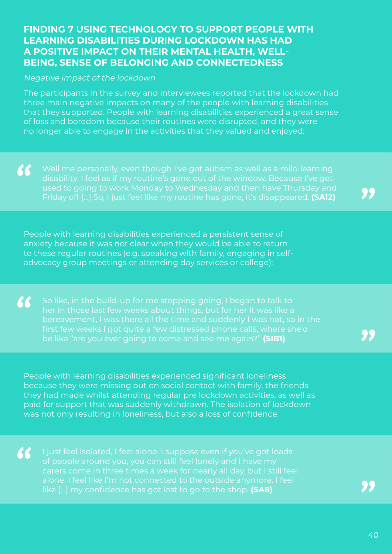#### **FINDING 7 USING TECHNOLOGY TO SUPPORT PEOPLE WITH LEARNING DISABILITIES DURING LOCKDOWN HAS HAD A POSITIVE IMPACT ON THEIR MENTAL HEALTH, WELL-BEING, SENSE OF BELONGING AND CONNECTEDNESS**

#### Negative impact of the lockdown

66

 $\epsilon$ 

The participants in the survey and interviewees reported that the lockdown had three main negative impacts on many of the people with learning disabilities that they supported. People with learning disabilities experienced a great sense of loss and boredom because their routines were disrupted, and they were no longer able to engage in the activities that they valued and enjoyed:

66 disability, I feel as if my routine's gone out of the window. Because I've got Friday off […] So, I just feel like my routine has gone, it's disappeared. **(SA12)**

People with learning disabilities experienced a persistent sense of anxiety because it was not clear when they would be able to return to these regular routines (e.g. speaking with family, engaging in selfadvocacy group meetings or attending day services or college):

So like, in the build-up for me stopping going, I began to talk to bereavement, I was there all the time and suddenly I was not, so in the first few weeks I got quite a few distressed phone calls, where she'd be like "are you ever going to come and see me again?" **(SIB1)**

People with learning disabilities experienced significant loneliness because they were missing out on social contact with family, the friends they had made whilst attending regular pre lockdown activities, as well as paid for support that was suddenly withdrawn. The isolation of lockdown was not only resulting in loneliness, but also a loss of confidence:

I just feel isolated, I feel alone. I suppose even if you've got loads of people around you, you can still feel lonely and I have my alone. I feel like I'm not connected to the outside anymore. I feel like […] my confidence has got lost to go to the shop. **(SA8)**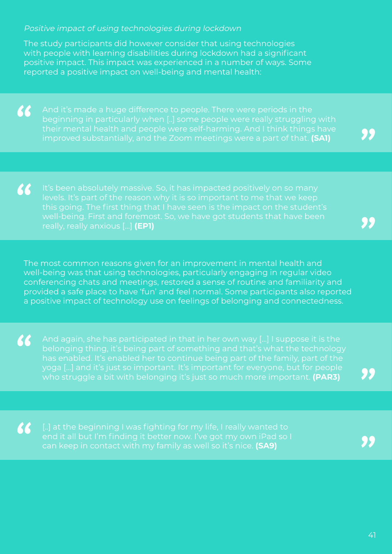#### Positive impact of using technologies during lockdown

The study participants did however consider that using technologies with people with learning disabilities during lockdown had a significant positive impact. This impact was experienced in a number of ways. Some reported a positive impact on well-being and mental health:

66

beginning in particularly when [..] some people were really struggling with their mental health and people were self-harming. And I think things have improved substantially, and the Zoom meetings were a part of that. **(SA1)**

66 really, really anxious […] **(EP1)**

The most common reasons given for an improvement in mental health and well-being was that using technologies, particularly engaging in regular video conferencing chats and meetings, restored a sense of routine and familiarity and provided a safe place to have 'fun' and feel normal. Some participants also reported a positive impact of technology use on feelings of belonging and connectedness.

66 who struggle a bit with belonging it's just so much more important. **(PAR3)**

66 can keep in contact with my family as well so it's nice. **(SA9)**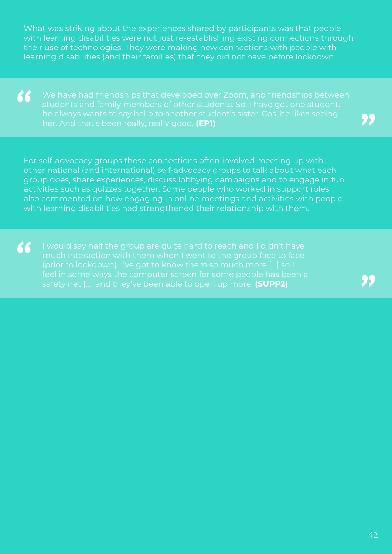What was striking about the experiences shared by participants was that people with learning disabilities were not just re-establishing existing connections through their use of technologies. They were making new connections with people with learning disabilities (and their families) that they did not have before lockdown.

66 students and family members of other students. So, I have got one student. her. And that's been really, really good. **(EP1)**

For self-advocacy groups these connections often involved meeting up with other national (and international) self-advocacy groups to talk about what each group does, share experiences, discuss lobbying campaigns and to engage in fun activities such as quizzes together. Some people who worked in support roles also commented on how engaging in online meetings and activities with people with learning disabilities had strengthened their relationship with them.

66 (prior to lockdown). I've got to know them so much more […] so I feel in some ways the computer screen for some people has been a safety net […] and they've been able to open up more. **(SUPP2)**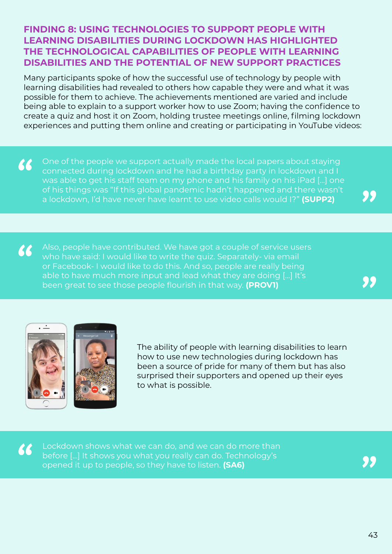#### **FINDING 8: USING TECHNOLOGIES TO SUPPORT PEOPLE WITH LEARNING DISABILITIES DURING LOCKDOWN HAS HIGHLIGHTED THE TECHNOLOGICAL CAPABILITIES OF PEOPLE WITH LEARNING DISABILITIES AND THE POTENTIAL OF NEW SUPPORT PRACTICES**

Many participants spoke of how the successful use of technology by people with learning disabilities had revealed to others how capable they were and what it was possible for them to achieve. The achievements mentioned are varied and include being able to explain to a support worker how to use Zoom; having the confidence to create a quiz and host it on Zoom, holding trustee meetings online, filming lockdown experiences and putting them online and creating or participating in YouTube videos:

66 One of the people we support actually made the local papers about staying connected during lockdown and he had a birthday party in lockdown and I was able to get his staff team on my phone and his family on his iPad […] one of his things was "If this global pandemic hadn't happened and there wasn't a lockdown, I'd have never have learnt to use video calls would I?" **(SUPP2)**

 $\alpha$ Also, people have contributed. We have got a couple of service users who have said: I would like to write the quiz. Separately- via email or Facebook- I would like to do this. And so, people are really being able to have much more input and lead what they are doing […] It's been great to see those people flourish in that way. **(PROV1)**



The ability of people with learning disabilities to learn how to use new technologies during lockdown has been a source of pride for many of them but has also surprised their supporters and opened up their eyes to what is possible.

Lockdown shows what we can do, and we can do more than 66 before […] It shows you what you really can do. Technology's opened it up to people, so they have to listen. **(SA6)**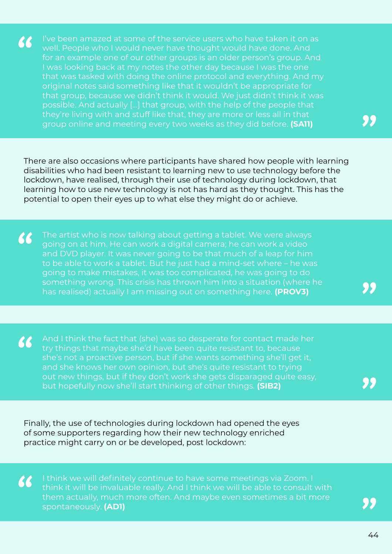I've been amazed at some of the service users who have taken it on as 66 well. People who I would never have thought would have done. And for an example one of our other groups is an older person's group. And I was looking back at my notes the other day because I was the one that was tasked with doing the online protocol and everything. And my original notes said something like that it wouldn't be appropriate for that group, because we didn't think it would. We just didn't think it was possible. And actually […] that group, with the help of the people that group online and meeting every two weeks as they did before. **(SA11)**

There are also occasions where participants have shared how people with learning disabilities who had been resistant to learning new to use technology before the lockdown, have realised, through their use of technology during lockdown, that learning how to use new technology is not has hard as they thought. This has the potential to open their eyes up to what else they might do or achieve.

66 The artist who is now talking about getting a tablet. We were always going on at him. He can work a digital camera; he can work a video and DVD player. It was never going to be that much of a leap for him to be able to work a tablet. But he just had a mind-set where – he was going to make mistakes, it was too complicated, he was going to do something wrong. This crisis has thrown him into a situation (where he has realised) actually I am missing out on something here. **(PROV3)**

And I think the fact that (she) was so desperate for contact made her  $\boldsymbol{\mathcal{K}}$ try things that maybe she'd have been quite resistant to, because she's not a proactive person, but if she wants something she'll get it, and she knows her own opinion, but she's quite resistant to trying out new things, but if they don't work she gets disparaged quite easy, but hopefully now she'll start thinking of other things. **(SIB2)**

Finally, the use of technologies during lockdown had opened the eyes of some supporters regarding how their new technology enriched practice might carry on or be developed, post lockdown:

66

I think we will definitely continue to have some meetings via Zoom. I think it will be invaluable really. And I think we will be able to consult with them actually, much more often. And maybe even sometimes a bit more spontaneously. **(AD1)**

44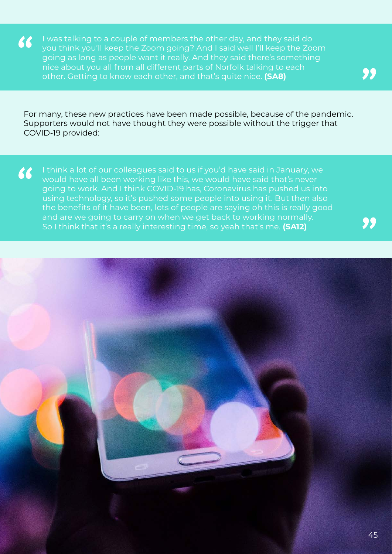I was talking to a couple of members the other day, and they said do  $\boldsymbol{66}$ you think you'll keep the Zoom going? And I said well I'll keep the Zoom going as long as people want it really. And they said there's something nice about you all from all different parts of Norfolk talking to each other. Getting to know each other, and that's quite nice. **(SA8)**

For many, these new practices have been made possible, because of the pandemic. Supporters would not have thought they were possible without the trigger that COVID-19 provided:

I think a lot of our colleagues said to us if you'd have said in January, we 66 would have all been working like this, we would have said that's never going to work. And I think COVID-19 has, Coronavirus has pushed us into using technology, so it's pushed some people into using it. But then also the benefits of it have been, lots of people are saying oh this is really good and are we going to carry on when we get back to working normally. So I think that it's a really interesting time, so yeah that's me. **(SA12)**

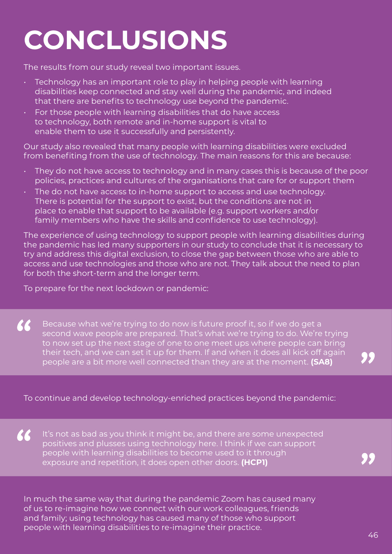# <span id="page-45-0"></span>**CONCLUSIONS**

The results from our study reveal two important issues.

- Technology has an important role to play in helping people with learning disabilities keep connected and stay well during the pandemic, and indeed that there are benefits to technology use beyond the pandemic.
- For those people with learning disabilities that do have access to technology, both remote and in-home support is vital to enable them to use it successfully and persistently.

Our study also revealed that many people with learning disabilities were excluded from benefiting from the use of technology. The main reasons for this are because:

- They do not have access to technology and in many cases this is because of the poor policies, practices and cultures of the organisations that care for or support them
- The do not have access to in-home support to access and use technology. There is potential for the support to exist, but the conditions are not in place to enable that support to be available (e.g. support workers and/or family members who have the skills and confidence to use technology).

The experience of using technology to support people with learning disabilities during the pandemic has led many supporters in our study to conclude that it is necessary to try and address this digital exclusion, to close the gap between those who are able to access and use technologies and those who are not. They talk about the need to plan for both the short-term and the longer term.

To prepare for the next lockdown or pandemic:

66 Because what we're trying to do now is future proof it, so if we do get a second wave people are prepared. That's what we're trying to do. We're trying to now set up the next stage of one to one meet ups where people can bring their tech, and we can set it up for them. If and when it does all kick off again people are a bit more well connected than they are at the moment. **(SA8)**

To continue and develop technology-enriched practices beyond the pandemic:

66 It's not as bad as you think it might be, and there are some unexpected positives and plusses using technology here. I think if we can support people with learning disabilities to become used to it through exposure and repetition, it does open other doors. **(HCP1)**

In much the same way that during the pandemic Zoom has caused many of us to re-imagine how we connect with our work colleagues, friends and family; using technology has caused many of those who support people with learning disabilities to re-imagine their practice.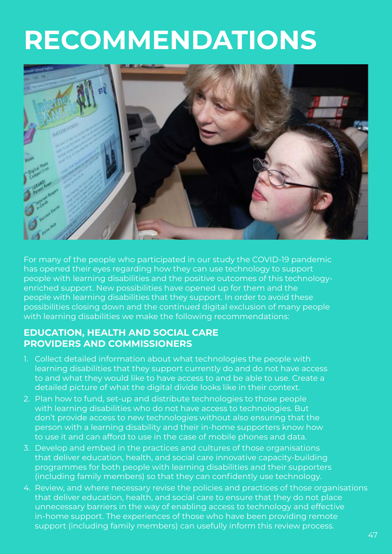# <span id="page-46-0"></span>**RECOMMENDATIONS**



For many of the people who participated in our study the COVID-19 pandemic has opened their eyes regarding how they can use technology to support people with learning disabilities and the positive outcomes of this technologyenriched support. New possibilities have opened up for them and the people with learning disabilities that they support. In order to avoid these possibilities closing down and the continued digital exclusion of many people with learning disabilities we make the following recommendations:

#### **EDUCATION, HEALTH AND SOCIAL CARE PROVIDERS AND COMMISSIONERS**

- 1. Collect detailed information about what technologies the people with learning disabilities that they support currently do and do not have access to and what they would like to have access to and be able to use. Create a detailed picture of what the digital divide looks like in their context.
- 2. Plan how to fund, set-up and distribute technologies to those people with learning disabilities who do not have access to technologies. But don't provide access to new technologies without also ensuring that the person with a learning disability and their in-home supporters know how to use it and can afford to use in the case of mobile phones and data.
- 3. Develop and embed in the practices and cultures of those organisations that deliver education, health, and social care innovative capacity-building programmes for both people with learning disabilities and their supporters (including family members) so that they can confidently use technology.
- 4. Review, and where necessary revise the policies and practices of those organisations that deliver education, health, and social care to ensure that they do not place unnecessary barriers in the way of enabling access to technology and effective in-home support. The experiences of those who have been providing remote support (including family members) can usefully inform this review process.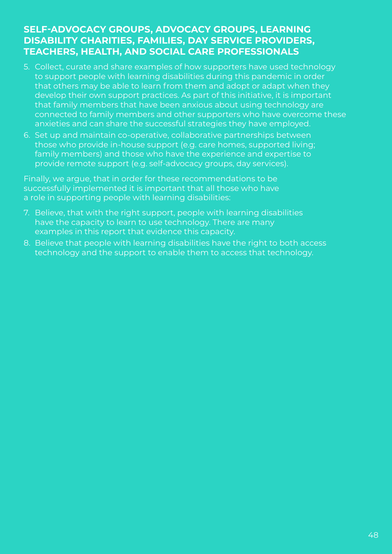#### **SELF-ADVOCACY GROUPS, ADVOCACY GROUPS, LEARNING DISABILITY CHARITIES, FAMILIES, DAY SERVICE PROVIDERS, TEACHERS, HEALTH, AND SOCIAL CARE PROFESSIONALS**

- 5. Collect, curate and share examples of how supporters have used technology to support people with learning disabilities during this pandemic in order that others may be able to learn from them and adopt or adapt when they develop their own support practices. As part of this initiative, it is important that family members that have been anxious about using technology are connected to family members and other supporters who have overcome these anxieties and can share the successful strategies they have employed.
- 6. Set up and maintain co-operative, collaborative partnerships between those who provide in-house support (e.g. care homes, supported living; family members) and those who have the experience and expertise to provide remote support (e.g. self-advocacy groups, day services).

Finally, we argue, that in order for these recommendations to be successfully implemented it is important that all those who have a role in supporting people with learning disabilities:

- 7. Believe, that with the right support, people with learning disabilities have the capacity to learn to use technology. There are many examples in this report that evidence this capacity.
- 8. Believe that people with learning disabilities have the right to both access technology and the support to enable them to access that technology.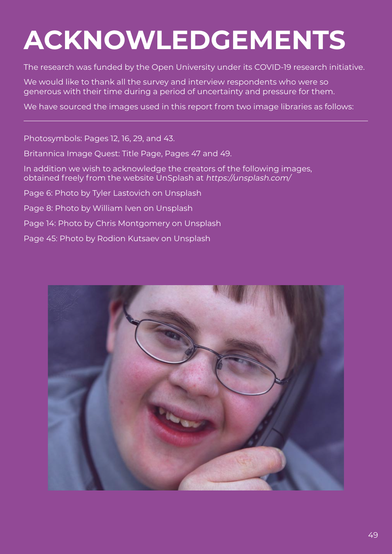# <span id="page-48-0"></span>**ACKNOWLEDGEMENTS**

The research was funded by the Open University under its COVID-19 research initiative.

We would like to thank all the survey and interview respondents who were so generous with their time during a period of uncertainty and pressure for them.

We have sourced the images used in this report from two image libraries as follows:

Photosymbols: Pages 12, 16, 29, and 43.

Britannica Image Quest: Title Page, Pages 47 and 49.

In addition we wish to acknowledge the creators of the following images, obtained freely from the website UnSplash at https://unsplash.com/

Page 6: Photo by Tyler Lastovich on Unsplash

Page 8: Photo by William Iven on Unsplash

Page 14: Photo by Chris Montgomery on Unsplash

Page 45: Photo by Rodion Kutsaev on Unsplash